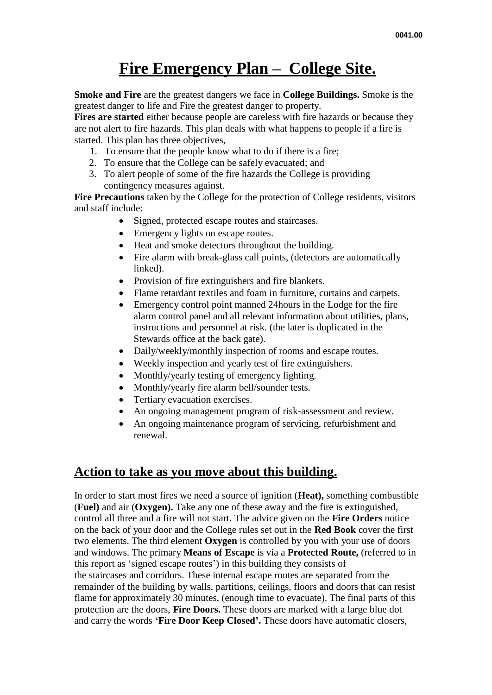# **Fire Emergency Plan – College Site.**

**Smoke and Fire** are the greatest dangers we face in **College Buildings.** Smoke is the greatest danger to life and Fire the greatest danger to property.

**Fires are started** either because people are careless with fire hazards or because they are not alert to fire hazards. This plan deals with what happens to people if a fire is started. This plan has three objectives,

- 1. To ensure that the people know what to do if there is a fire;
- 2. To ensure that the College can be safely evacuated; and
- 3. To alert people of some of the fire hazards the College is providing contingency measures against.

**Fire Precautions** taken by the College for the protection of College residents, visitors and staff include:

- Signed, protected escape routes and staircases.
- Emergency lights on escape routes.
- Heat and smoke detectors throughout the building.
- Fire alarm with break-glass call points, (detectors are automatically linked).
- Provision of fire extinguishers and fire blankets.
- Flame retardant textiles and foam in furniture, curtains and carpets.
- Emergency control point manned 24hours in the Lodge for the fire alarm control panel and all relevant information about utilities, plans, instructions and personnel at risk. (the later is duplicated in the Stewards office at the back gate).
- Daily/weekly/monthly inspection of rooms and escape routes.
- Weekly inspection and yearly test of fire extinguishers.
- Monthly/yearly testing of emergency lighting.
- Monthly/yearly fire alarm bell/sounder tests.
- Tertiary evacuation exercises.
- An ongoing management program of risk-assessment and review.
- An ongoing maintenance program of servicing, refurbishment and renewal.

## **Action to take as you move about this building.**

In order to start most fires we need a source of ignition (**Heat),** something combustible (**Fuel)** and air (**Oxygen).** Take any one of these away and the fire is extinguished, control all three and a fire will not start. The advice given on the **Fire Orders** notice on the back of your door and the College rules set out in the **Red Book** cover the first two elements. The third element **Oxygen** is controlled by you with your use of doors and windows. The primary **Means of Escape** is via a **Protected Route,** (referred to in this report as 'signed escape routes') in this building they consists of the staircases and corridors. These internal escape routes are separated from the remainder of the building by walls, partitions, ceilings, floors and doors that can resist flame for approximately 30 minutes, (enough time to evacuate). The final parts of this protection are the doors, **Fire Doors.** These doors are marked with a large blue dot and carry the words **'Fire Door Keep Closed'.** These doors have automatic closers,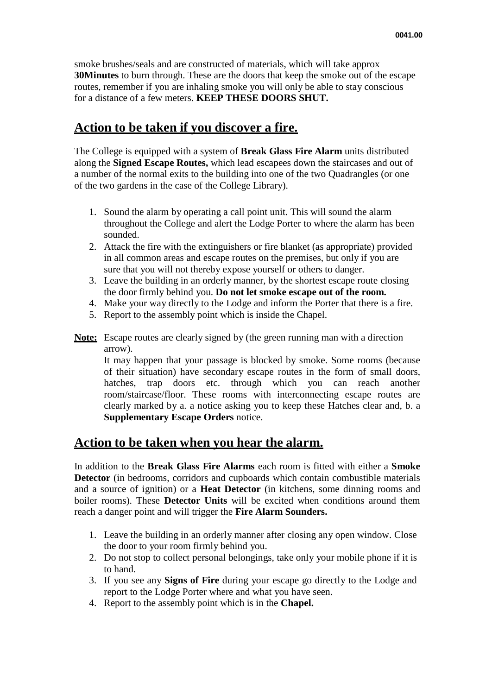smoke brushes/seals and are constructed of materials, which will take approx **30Minutes** to burn through. These are the doors that keep the smoke out of the escape routes, remember if you are inhaling smoke you will only be able to stay conscious for a distance of a few meters. **KEEP THESE DOORS SHUT.**

### **Action to be taken if you discover a fire.**

The College is equipped with a system of **Break Glass Fire Alarm** units distributed along the **Signed Escape Routes,** which lead escapees down the staircases and out of a number of the normal exits to the building into one of the two Quadrangles (or one of the two gardens in the case of the College Library).

- 1. Sound the alarm by operating a call point unit. This will sound the alarm throughout the College and alert the Lodge Porter to where the alarm has been sounded.
- 2. Attack the fire with the extinguishers or fire blanket (as appropriate) provided in all common areas and escape routes on the premises, but only if you are sure that you will not thereby expose yourself or others to danger.
- 3. Leave the building in an orderly manner, by the shortest escape route closing the door firmly behind you. **Do not let smoke escape out of the room.**
- 4. Make your way directly to the Lodge and inform the Porter that there is a fire.
- 5. Report to the assembly point which is inside the Chapel.
- **Note:** Escape routes are clearly signed by (the green running man with a direction arrow).

It may happen that your passage is blocked by smoke. Some rooms (because of their situation) have secondary escape routes in the form of small doors, hatches, trap doors etc. through which you can reach another room/staircase/floor. These rooms with interconnecting escape routes are clearly marked by a. a notice asking you to keep these Hatches clear and, b. a **Supplementary Escape Orders** notice.

# **Action to be taken when you hear the alarm.**

In addition to the **Break Glass Fire Alarms** each room is fitted with either a **Smoke Detector** (in bedrooms, corridors and cupboards which contain combustible materials and a source of ignition) or a **Heat Detector** (in kitchens, some dinning rooms and boiler rooms). These **Detector Units** will be excited when conditions around them reach a danger point and will trigger the **Fire Alarm Sounders.**

- 1. Leave the building in an orderly manner after closing any open window. Close the door to your room firmly behind you.
- 2. Do not stop to collect personal belongings, take only your mobile phone if it is to hand.
- 3. If you see any **Signs of Fire** during your escape go directly to the Lodge and report to the Lodge Porter where and what you have seen.
- 4. Report to the assembly point which is in the **Chapel.**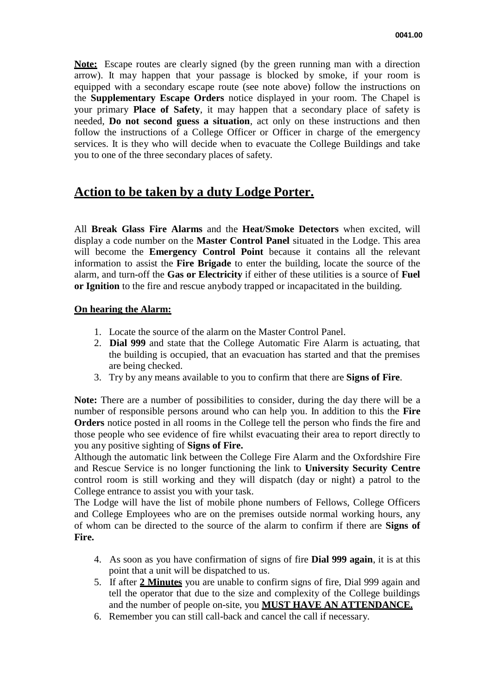**Note:** Escape routes are clearly signed (by the green running man with a direction arrow). It may happen that your passage is blocked by smoke, if your room is equipped with a secondary escape route (see note above) follow the instructions on the **Supplementary Escape Orders** notice displayed in your room. The Chapel is your primary **Place of Safety**, it may happen that a secondary place of safety is needed, **Do not second guess a situation**, act only on these instructions and then follow the instructions of a College Officer or Officer in charge of the emergency services. It is they who will decide when to evacuate the College Buildings and take you to one of the three secondary places of safety.

# **Action to be taken by a duty Lodge Porter.**

All **Break Glass Fire Alarms** and the **Heat/Smoke Detectors** when excited, will display a code number on the **Master Control Panel** situated in the Lodge. This area will become the **Emergency Control Point** because it contains all the relevant information to assist the **Fire Brigade** to enter the building, locate the source of the alarm, and turn-off the **Gas or Electricity** if either of these utilities is a source of **Fuel or Ignition** to the fire and rescue anybody trapped or incapacitated in the building.

### **On hearing the Alarm:**

- 1. Locate the source of the alarm on the Master Control Panel.
- 2. **Dial 999** and state that the College Automatic Fire Alarm is actuating, that the building is occupied, that an evacuation has started and that the premises are being checked.
- 3. Try by any means available to you to confirm that there are **Signs of Fire**.

**Note:** There are a number of possibilities to consider, during the day there will be a number of responsible persons around who can help you. In addition to this the **Fire Orders** notice posted in all rooms in the College tell the person who finds the fire and those people who see evidence of fire whilst evacuating their area to report directly to you any positive sighting of **Signs of Fire.**

Although the automatic link between the College Fire Alarm and the Oxfordshire Fire and Rescue Service is no longer functioning the link to **University Security Centre**  control room is still working and they will dispatch (day or night) a patrol to the College entrance to assist you with your task.

The Lodge will have the list of mobile phone numbers of Fellows, College Officers and College Employees who are on the premises outside normal working hours, any of whom can be directed to the source of the alarm to confirm if there are **Signs of Fire.**

- 4. As soon as you have confirmation of signs of fire **Dial 999 again**, it is at this point that a unit will be dispatched to us.
- 5. If after **2 Minutes** you are unable to confirm signs of fire, Dial 999 again and tell the operator that due to the size and complexity of the College buildings and the number of people on-site, you **MUST HAVE AN ATTENDANCE.**
- 6. Remember you can still call-back and cancel the call if necessary.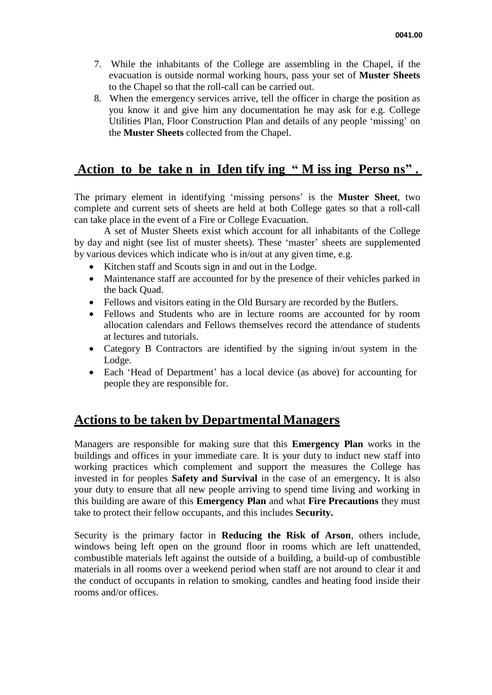- 7. While the inhabitants of the College are assembling in the Chapel, if the evacuation is outside normal working hours, pass your set of **Muster Sheets**  to the Chapel so that the roll-call can be carried out.
- 8. When the emergency services arrive, tell the officer in charge the position as you know it and give him any documentation he may ask for e.g. College Utilities Plan, Floor Construction Plan and details of any people 'missing' on the **Muster Sheets** collected from the Chapel.

# **Action to be take n in Iden tify ing " M iss ing Perso ns" .**

The primary element in identifying 'missing persons' is the **Muster Sheet**, two complete and current sets of sheets are held at both College gates so that a roll-call can take place in the event of a Fire or College Evacuation.

A set of Muster Sheets exist which account for all inhabitants of the College by day and night (see list of muster sheets). These 'master' sheets are supplemented by various devices which indicate who is in/out at any given time, e.g.

- Kitchen staff and Scouts sign in and out in the Lodge.
- Maintenance staff are accounted for by the presence of their vehicles parked in the back Quad.
- Fellows and visitors eating in the Old Bursary are recorded by the Butlers.
- Fellows and Students who are in lecture rooms are accounted for by room allocation calendars and Fellows themselves record the attendance of students at lectures and tutorials.
- Category B Contractors are identified by the signing in/out system in the Lodge.
- Each 'Head of Department' has a local device (as above) for accounting for people they are responsible for.

### **Actions to be taken by Departmental Managers**

Managers are responsible for making sure that this **Emergency Plan** works in the buildings and offices in your immediate care. It is your duty to induct new staff into working practices which complement and support the measures the College has invested in for peoples **Safety and Survival** in the case of an emergency**.** It is also your duty to ensure that all new people arriving to spend time living and working in this building are aware of this **Emergency Plan** and what **Fire Precautions** they must take to protect their fellow occupants, and this includes **Security.**

Security is the primary factor in **Reducing the Risk of Arson**, others include, windows being left open on the ground floor in rooms which are left unattended, combustible materials left against the outside of a building, a build-up of combustible materials in all rooms over a weekend period when staff are not around to clear it and the conduct of occupants in relation to smoking, candles and heating food inside their rooms and/or offices.